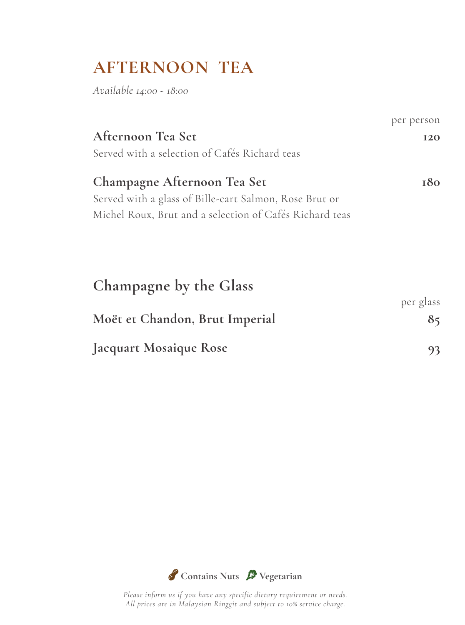# **AFTERNOON TEA**

*Available 14:00 - 18:00*

|                                                         | per person |
|---------------------------------------------------------|------------|
| Afternoon Tea Set                                       | <b>I20</b> |
| Served with a selection of Cafés Richard teas           |            |
| Champagne Afternoon Tea Set                             | 180        |
| Served with a glass of Bille-cart Salmon, Rose Brut or  |            |
| Michel Roux, Brut and a selection of Cafés Richard teas |            |
|                                                         |            |
|                                                         |            |
| Champagne by the Glass                                  |            |
|                                                         | per glass  |
| Moët et Chandon, Brut Imperial                          | 85         |
| Jacquart Mosaique Rose                                  | 93         |

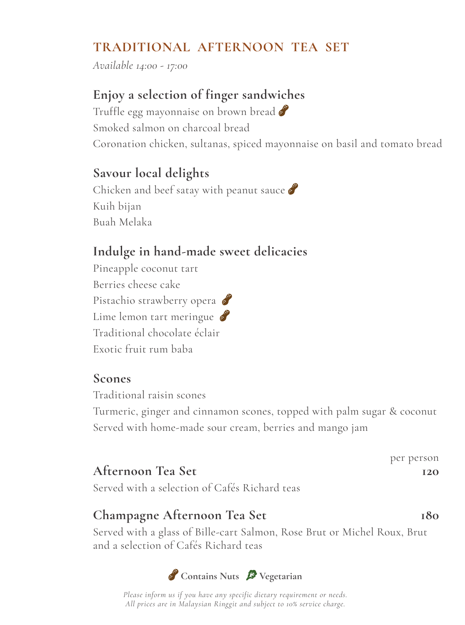# **TRADITIONAL AFTERNOON TEA SET**

*Available 14:00 - 17:00*

### **Enjoy a selection of finger sandwiches**

Truffle egg mayonnaise on brown bread Smoked salmon on charcoal bread Coronation chicken, sultanas, spiced mayonnaise on basil and tomato bread

#### **Savour local delights**

Chicken and beef satay with peanut sauce Kuih bijan Buah Melaka

### **Indulge in hand-made sweet delicacies**

Pineapple coconut tart Berries cheese cake Pistachio strawberry opera Lime lemon tart meringue Traditional chocolate éclair Exotic fruit rum baba

#### **Scones**

Traditional raisin scones

Turmeric, ginger and cinnamon scones, topped with palm sugar & coconut Served with home-made sour cream, berries and mango jam

|                   |  | per person |
|-------------------|--|------------|
| Afternoon Tea Set |  | 12O        |
|                   |  |            |

Served with a selection of Cafés Richard teas

### Champagne Afternoon Tea Set 180

Served with a glass of Bille-cart Salmon, Rose Brut or Michel Roux, Brut and a selection of Cafés Richard teas

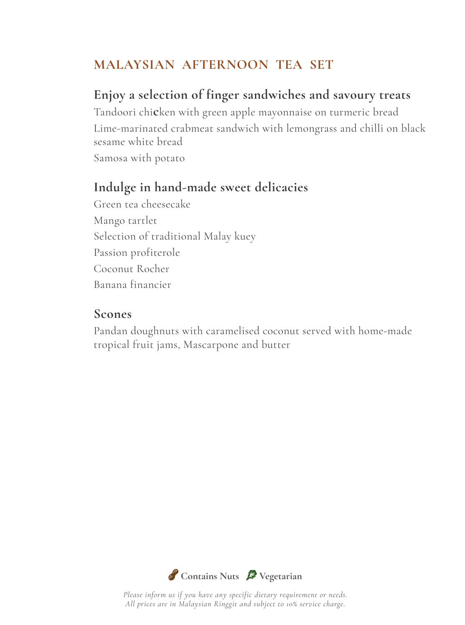### **MALAYSIAN AFTERNOON TEA SET**

# **Enjoy a selection of finger sandwiches and savoury treats**

Tandoori chi**c**ken with green apple mayonnaise on turmeric bread Lime-marinated crabmeat sandwich with lemongrass and chilli on black sesame white bread Samosa with potato

### **Indulge in hand-made sweet delicacies**

Green tea cheesecake Mango tartlet Selection of traditional Malay kuey Passion profiterole Coconut Rocher Banana financier

#### **Scones**

Pandan doughnuts with caramelised coconut served with home-made tropical fruit jams, Mascarpone and butter

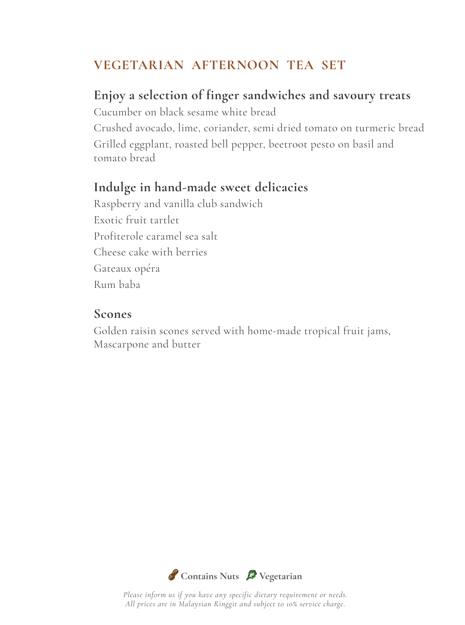### **VEGETARIAN AFTERNOON TEA SET**

#### **Enjoy a selection of finger sandwiches and savoury treats**

Cucumber on black sesame white bread Crushed avocado, lime, coriander, semi dried tomato on turmeric bread Grilled eggplant, roasted bell pepper, beetroot pesto on basil and tomato bread

#### **Indulge in hand-made sweet delicacies**

Raspberry and vanilla club sandwich Exotic fruit tartlet Profiterole caramel sea salt Cheese cake with berries Gateaux opéra Rum baba

#### **Scones**

Golden raisin scones served with home-made tropical fruit jams, Mascarpone and butter

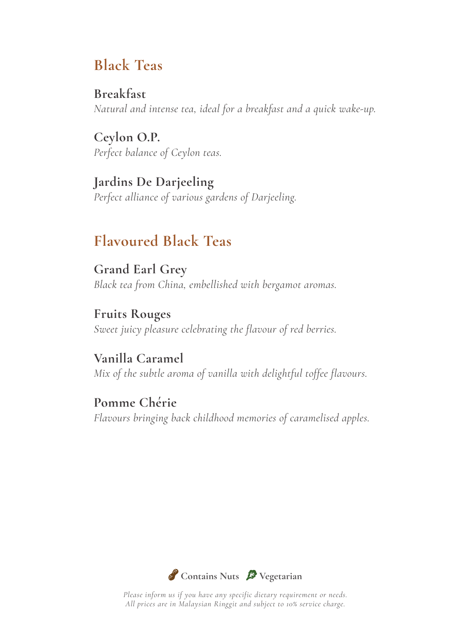# **Black Teas**

**Breakfast** *Natural and intense tea, ideal for a breakfast and a quick wake-up.*

**Ceylon O.P.** *Perfect balance of Ceylon teas.*

**Jardins De Darjeeling** *Perfect alliance of various gardens of Darjeeling.*

# **Flavoured Black Teas**

**Grand Earl Grey** *Black tea from China, embellished with bergamot aromas.*

**Fruits Rouges** *Sweet juicy pleasure celebrating the flavour of red berries.*

**Vanilla Caramel** *Mix of the subtle aroma of vanilla with delightful toffee flavours.*

**Pomme Chérie** *Flavours bringing back childhood memories of caramelised apples.*

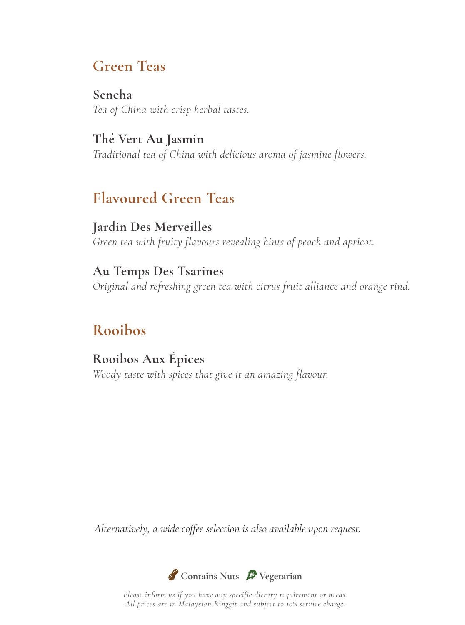# **Green Teas**

**Sencha** *Tea of China with crisp herbal tastes.*

**Thé Vert Au Jasmin** *Traditional tea of China with delicious aroma of jasmine flowers.*

# **Flavoured Green Teas**

**Jardin Des Merveilles** *Green tea with fruity flavours revealing hints of peach and apricot.*

**Au Temps Des Tsarines** *Original and refreshing green tea with citrus fruit alliance and orange rind.*

# **Rooibos**

**Rooibos Aux Épices** *Woody taste with spices that give it an amazing flavour.*

*Alternatively, a wide coffee selection is also available upon request.*